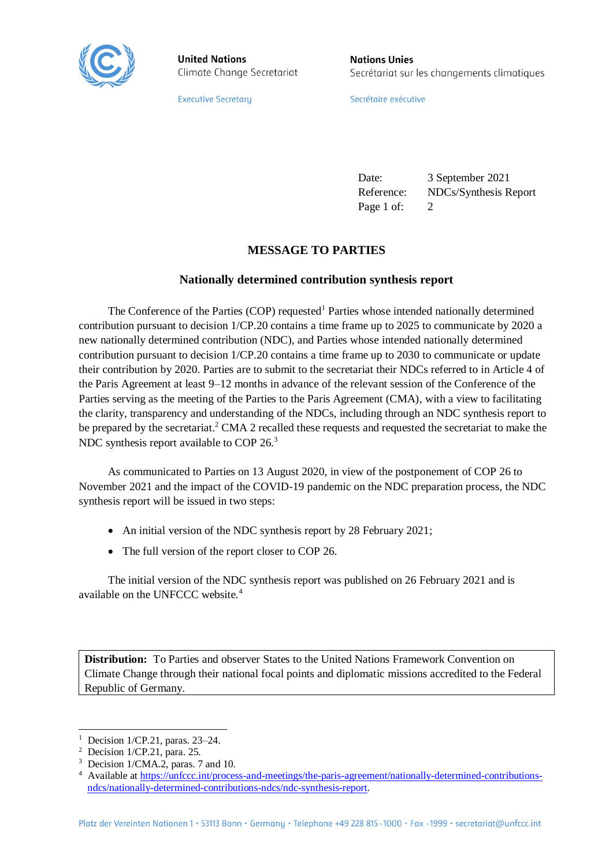

**United Nations** Climate Change Secretariat **Nations Unies** Secrétariat sur les changements climatiques

**Executive Secretary** 

Secrétaire exécutive

Date: 3 September 2021 Reference: NDCs/Synthesis Report Page 1 of: 2

## **MESSAGE TO PARTIES**

## **Nationally determined contribution synthesis report**

The Conference of the Parties (COP) requested<sup>1</sup> Parties whose intended nationally determined contribution pursuant to decision 1/CP.20 contains a time frame up to 2025 to communicate by 2020 a new nationally determined contribution (NDC), and Parties whose intended nationally determined contribution pursuant to decision 1/CP.20 contains a time frame up to 2030 to communicate or update their contribution by 2020. Parties are to submit to the secretariat their NDCs referred to in Article 4 of the Paris Agreement at least 9–12 months in advance of the relevant session of the Conference of the Parties serving as the meeting of the Parties to the Paris Agreement (CMA), with a view to facilitating the clarity, transparency and understanding of the NDCs, including through an NDC synthesis report to be prepared by the secretariat.<sup>2</sup> CMA 2 recalled these requests and requested the secretariat to make the NDC synthesis report available to COP  $26<sup>3</sup>$ 

As communicated to Parties on 13 August 2020, in view of the postponement of COP 26 to November 2021 and the impact of the COVID-19 pandemic on the NDC preparation process, the NDC synthesis report will be issued in two steps:

- An initial version of the NDC synthesis report by 28 February 2021;
- The full version of the report closer to COP 26.

The initial version of the NDC synthesis report was published on 26 February 2021 and is available on the UNFCCC website.<sup>4</sup>

**Distribution:** To Parties and observer States to the United Nations Framework Convention on Climate Change through their national focal points and diplomatic missions accredited to the Federal Republic of Germany.

 $\overline{a}$ 

 $1$  Decision 1/CP.21, paras. 23–24.

<sup>2</sup> Decision 1/CP.21, para. 25.

<sup>&</sup>lt;sup>3</sup> Decision 1/CMA.2, paras. 7 and 10.

<sup>&</sup>lt;sup>4</sup> Available at [https://unfccc.int/process-and-meetings/the-paris-agreement/nationally-determined-contributions](https://unfccc.int/process-and-meetings/the-paris-agreement/nationally-determined-contributions-ndcs/nationally-determined-contributions-ndcs/ndc-synthesis-report)[ndcs/nationally-determined-contributions-ndcs/ndc-synthesis-report.](https://unfccc.int/process-and-meetings/the-paris-agreement/nationally-determined-contributions-ndcs/nationally-determined-contributions-ndcs/ndc-synthesis-report)